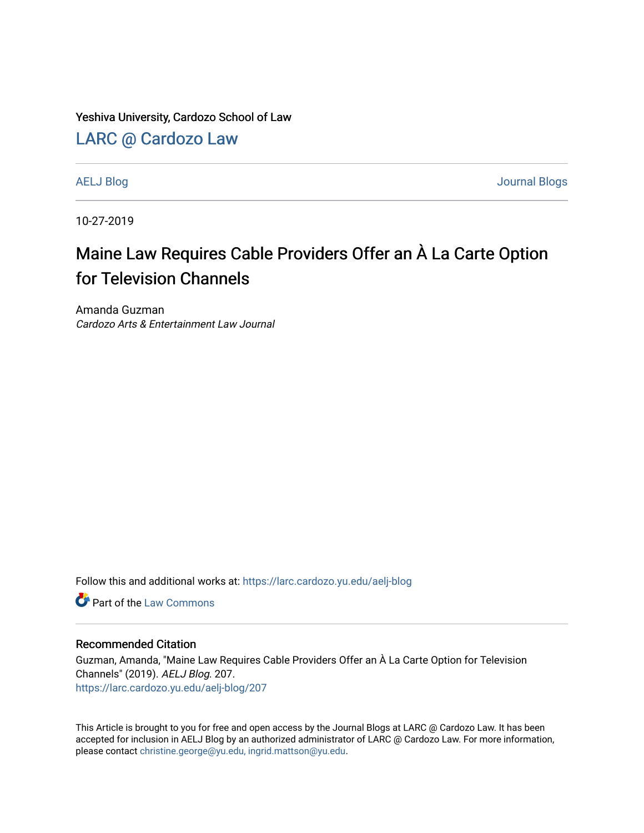Yeshiva University, Cardozo School of Law

## [LARC @ Cardozo Law](https://larc.cardozo.yu.edu/)

[AELJ Blog](https://larc.cardozo.yu.edu/aelj-blog) [Journal Blogs](https://larc.cardozo.yu.edu/journal-blogs) 

10-27-2019

## Maine Law Requires Cable Providers Offer an À La Carte Option for Television Channels

Amanda Guzman Cardozo Arts & Entertainment Law Journal

Follow this and additional works at: [https://larc.cardozo.yu.edu/aelj-blog](https://larc.cardozo.yu.edu/aelj-blog?utm_source=larc.cardozo.yu.edu%2Faelj-blog%2F207&utm_medium=PDF&utm_campaign=PDFCoverPages) 

**C** Part of the [Law Commons](http://network.bepress.com/hgg/discipline/578?utm_source=larc.cardozo.yu.edu%2Faelj-blog%2F207&utm_medium=PDF&utm_campaign=PDFCoverPages)

## Recommended Citation

Guzman, Amanda, "Maine Law Requires Cable Providers Offer an À La Carte Option for Television Channels" (2019). AELJ Blog. 207. [https://larc.cardozo.yu.edu/aelj-blog/207](https://larc.cardozo.yu.edu/aelj-blog/207?utm_source=larc.cardozo.yu.edu%2Faelj-blog%2F207&utm_medium=PDF&utm_campaign=PDFCoverPages) 

This Article is brought to you for free and open access by the Journal Blogs at LARC @ Cardozo Law. It has been accepted for inclusion in AELJ Blog by an authorized administrator of LARC @ Cardozo Law. For more information, please contact [christine.george@yu.edu, ingrid.mattson@yu.edu.](mailto:christine.george@yu.edu,%20ingrid.mattson@yu.edu)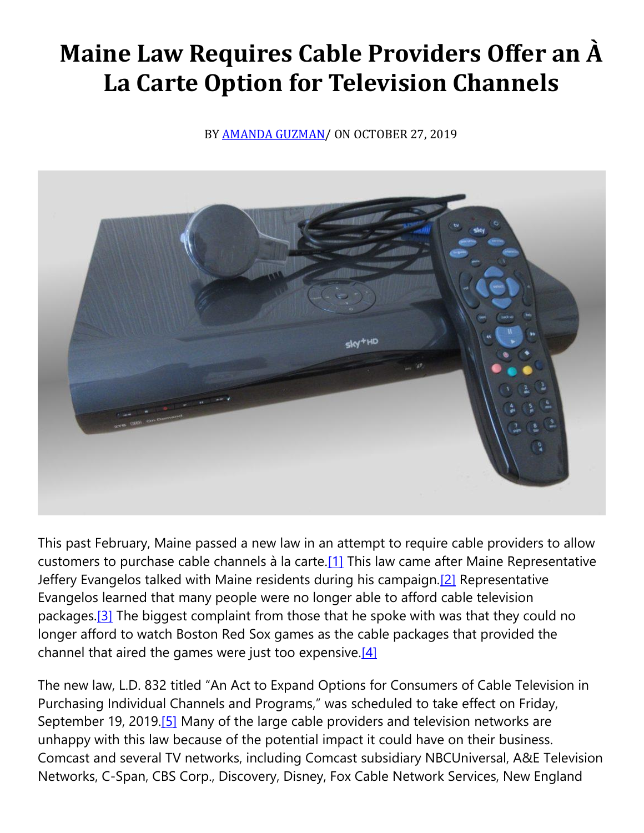## **Maine Law Requires Cable Providers Offer an À La Carte Option for Television Channels**

BY [AMANDA GUZMAN/](https://cardozoaelj.com/author/amanda-guzman/) ON OCTOBER 27, 2019



This past February, Maine passed a new law in an attempt to require cable providers to allow customers to purchase cable channels à la carte[.\[1\]](https://cardozoaelj.com/2019/10/27/maine-law-requires-cable-providers-offer-an-a-la-carte-option-for-television-channels/#_ftn1) This law came after Maine Representative Jeffery Evangelos talked with Maine residents during his campaign.<sup>[2]</sup> Representative Evangelos learned that many people were no longer able to afford cable television packages.<sup>[3]</sup> The biggest complaint from those that he spoke with was that they could no longer afford to watch Boston Red Sox games as the cable packages that provided the channel that aired the games were just too expensive. $[4]$ 

The new law, L.D. 832 titled "An Act to Expand Options for Consumers of Cable Television in Purchasing Individual Channels and Programs," was scheduled to take effect on Friday, September 19, 2019.<sup>[5]</sup> Many of the large cable providers and television networks are unhappy with this law because of the potential impact it could have on their business. Comcast and several TV networks, including Comcast subsidiary NBCUniversal, A&E Television Networks, C-Span, CBS Corp., Discovery, Disney, Fox Cable Network Services, New England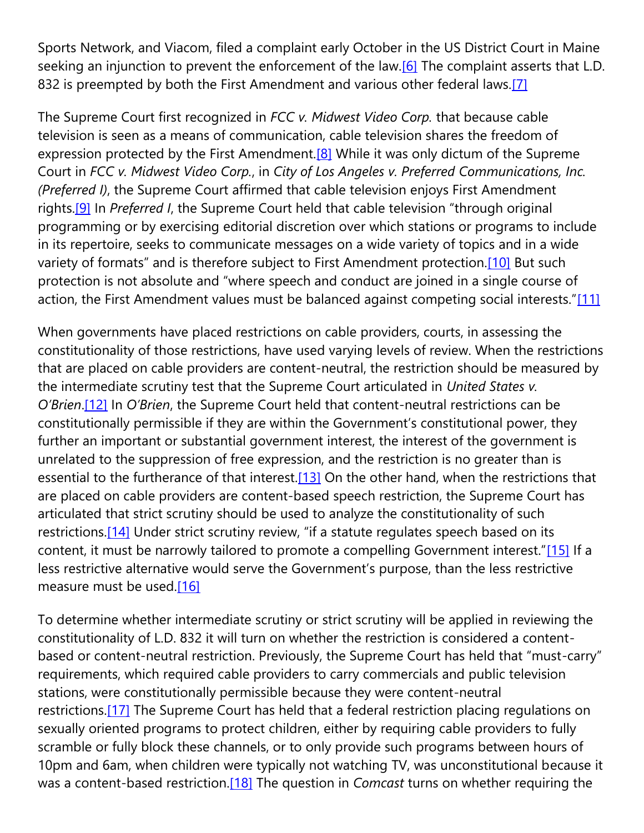Sports Network, and Viacom, filed a complaint early October in the US District Court in Maine seeking an injunction to prevent the enforcement of the law.<sup>[6]</sup> The complaint asserts that L.D. 832 is preempted by both the First Amendment and various other federal laws.<sup>[7]</sup>

The Supreme Court first recognized in *FCC v. Midwest Video Corp.* that because cable television is seen as a means of communication, cable television shares the freedom of expression protected by the First Amendment.<sup>[8]</sup> While it was only dictum of the Supreme Court in *FCC v. Midwest Video Corp.*, in *City of Los Angeles v. Preferred Communications, Inc. (Preferred I)*, the Supreme Court affirmed that cable television enjoys First Amendment rights[.\[9\]](https://cardozoaelj.com/2019/10/27/maine-law-requires-cable-providers-offer-an-a-la-carte-option-for-television-channels/#_ftn9) In *Preferred I*, the Supreme Court held that cable television "through original programming or by exercising editorial discretion over which stations or programs to include in its repertoire, seeks to communicate messages on a wide variety of topics and in a wide variety of formats" and is therefore subject to First Amendment protection.<sup>[\[10\]](https://cardozoaelj.com/2019/10/27/maine-law-requires-cable-providers-offer-an-a-la-carte-option-for-television-channels/#_ftn10)</sup> But such protection is not absolute and "where speech and conduct are joined in a single course of action, the First Amendment values must be balanced against competing social interests."[\[11\]](https://cardozoaelj.com/2019/10/27/maine-law-requires-cable-providers-offer-an-a-la-carte-option-for-television-channels/#_ftn11)

When governments have placed restrictions on cable providers, courts, in assessing the constitutionality of those restrictions, have used varying levels of review. When the restrictions that are placed on cable providers are content-neutral, the restriction should be measured by the intermediate scrutiny test that the Supreme Court articulated in *United States v. O'Brien*[.\[12\]](https://cardozoaelj.com/2019/10/27/maine-law-requires-cable-providers-offer-an-a-la-carte-option-for-television-channels/#_ftn12) In *O'Brien*, the Supreme Court held that content-neutral restrictions can be constitutionally permissible if they are within the Government's constitutional power, they further an important or substantial government interest, the interest of the government is unrelated to the suppression of free expression, and the restriction is no greater than is essential to the furtherance of that interest.<sup>[13]</sup> On the other hand, when the restrictions that are placed on cable providers are content-based speech restriction, the Supreme Court has articulated that strict scrutiny should be used to analyze the constitutionality of such restrictions.<sup>[14]</sup> Under strict scrutiny review, "if a statute regulates speech based on its content, it must be narrowly tailored to promote a compelling Government interest."[\[15\]](https://cardozoaelj.com/2019/10/27/maine-law-requires-cable-providers-offer-an-a-la-carte-option-for-television-channels/#_ftn15) If a less restrictive alternative would serve the Government's purpose, than the less restrictive measure must be used[.\[16\]](https://cardozoaelj.com/2019/10/27/maine-law-requires-cable-providers-offer-an-a-la-carte-option-for-television-channels/#_ftn16)

To determine whether intermediate scrutiny or strict scrutiny will be applied in reviewing the constitutionality of L.D. 832 it will turn on whether the restriction is considered a contentbased or content-neutral restriction. Previously, the Supreme Court has held that "must-carry" requirements, which required cable providers to carry commercials and public television stations, were constitutionally permissible because they were content-neutral restrictions.<sup>[17]</sup> The Supreme Court has held that a federal restriction placing regulations on sexually oriented programs to protect children, either by requiring cable providers to fully scramble or fully block these channels, or to only provide such programs between hours of 10pm and 6am, when children were typically not watching TV, was unconstitutional because it was a content-based restriction[.\[18\]](https://cardozoaelj.com/2019/10/27/maine-law-requires-cable-providers-offer-an-a-la-carte-option-for-television-channels/#_ftn18) The question in *Comcast* turns on whether requiring the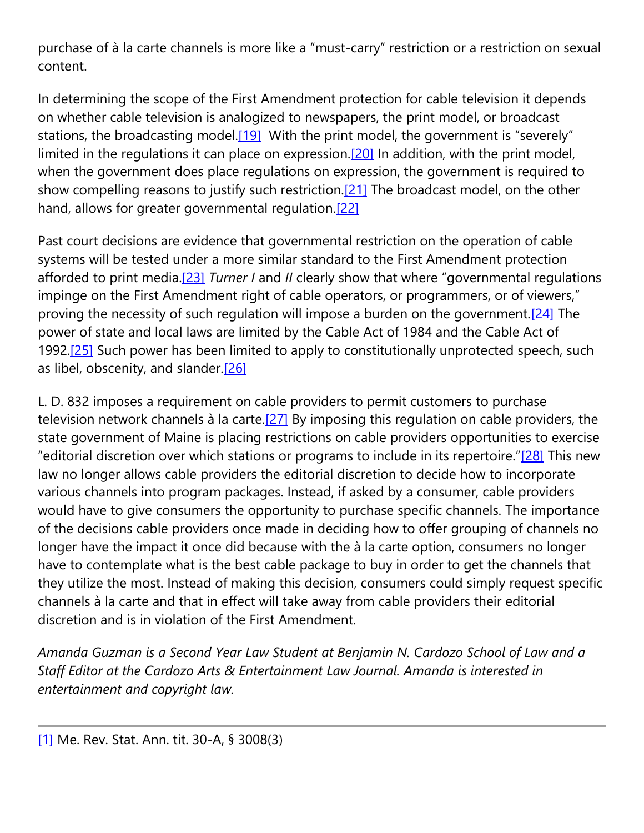purchase of à la carte channels is more like a "must-carry" restriction or a restriction on sexual content.

In determining the scope of the First Amendment protection for cable television it depends on whether cable television is analogized to newspapers, the print model, or broadcast stations, the broadcasting model. $[19]$  With the print model, the government is "severely" limited in the regulations it can place on expression.<sup>[20]</sup> In addition, with the print model, when the government does place regulations on expression, the government is required to show compelling reasons to justify such restriction.<sup>[21]</sup> The broadcast model, on the other hand, allows for greater governmental regulation.<sup>[22]</sup>

Past court decisions are evidence that governmental restriction on the operation of cable systems will be tested under a more similar standard to the First Amendment protection afforded to print media[.\[23\]](https://cardozoaelj.com/2019/10/27/maine-law-requires-cable-providers-offer-an-a-la-carte-option-for-television-channels/#_ftn23) *Turner I* and *II* clearly show that where "governmental regulations impinge on the First Amendment right of cable operators, or programmers, or of viewers," proving the necessity of such regulation will impose a burden on the government.<sup>[24]</sup> The power of state and local laws are limited by the Cable Act of 1984 and the Cable Act of 1992.<sup>[25]</sup> Such power has been limited to apply to constitutionally unprotected speech, such as libel, obscenity, and slander. $[26]$ 

L. D. 832 imposes a requirement on cable providers to permit customers to purchase television network channels à la carte.<sup>[27]</sup> By imposing this regulation on cable providers, the state government of Maine is placing restrictions on cable providers opportunities to exercise "editorial discretion over which stations or programs to include in its repertoire."[\[28\]](https://cardozoaelj.com/2019/10/27/maine-law-requires-cable-providers-offer-an-a-la-carte-option-for-television-channels/#_ftn28) This new law no longer allows cable providers the editorial discretion to decide how to incorporate various channels into program packages. Instead, if asked by a consumer, cable providers would have to give consumers the opportunity to purchase specific channels. The importance of the decisions cable providers once made in deciding how to offer grouping of channels no longer have the impact it once did because with the à la carte option, consumers no longer have to contemplate what is the best cable package to buy in order to get the channels that they utilize the most. Instead of making this decision, consumers could simply request specific channels à la carte and that in effect will take away from cable providers their editorial discretion and is in violation of the First Amendment.

*Amanda Guzman is a Second Year Law Student at Benjamin N. Cardozo School of Law and a Staff Editor at the Cardozo Arts & Entertainment Law Journal. Amanda is interested in entertainment and copyright law.*

[\[1\]](https://cardozoaelj.com/2019/10/27/maine-law-requires-cable-providers-offer-an-a-la-carte-option-for-television-channels/#_ftnref1) Me. Rev. Stat. Ann. tit. 30-A, § 3008(3)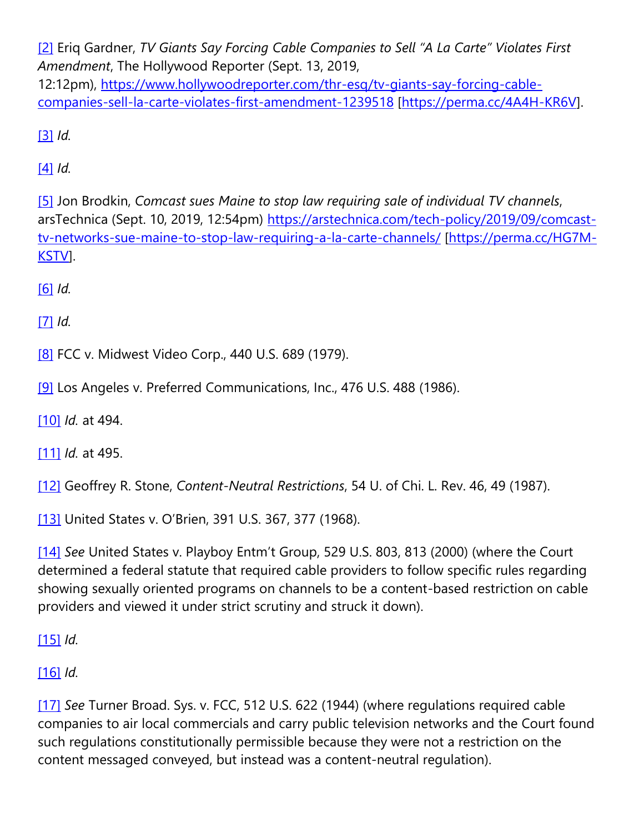[\[2\]](https://cardozoaelj.com/2019/10/27/maine-law-requires-cable-providers-offer-an-a-la-carte-option-for-television-channels/#_ftnref2) Eriq Gardner, *TV Giants Say Forcing Cable Companies to Sell "A La Carte" Violates First Amendment*, The Hollywood Reporter (Sept. 13, 2019, 12:12pm), [https://www.hollywoodreporter.com/thr-esq/tv-giants-say-forcing-cable](https://www.hollywoodreporter.com/thr-esq/tv-giants-say-forcing-cable-companies-sell-la-carte-violates-first-amendment-1239518)[companies-sell-la-carte-violates-first-amendment-1239518](https://www.hollywoodreporter.com/thr-esq/tv-giants-say-forcing-cable-companies-sell-la-carte-violates-first-amendment-1239518) [\[https://perma.cc/4A4H-KR6V\]](https://perma.cc/4A4H-KR6V).

[\[3\]](https://cardozoaelj.com/2019/10/27/maine-law-requires-cable-providers-offer-an-a-la-carte-option-for-television-channels/#_ftnref3) *Id.*

[\[4\]](https://cardozoaelj.com/2019/10/27/maine-law-requires-cable-providers-offer-an-a-la-carte-option-for-television-channels/#_ftnref4) *Id.*

[\[5\]](https://cardozoaelj.com/2019/10/27/maine-law-requires-cable-providers-offer-an-a-la-carte-option-for-television-channels/#_ftnref5) Jon Brodkin, *Comcast sues Maine to stop law requiring sale of individual TV channels*, arsTechnica (Sept. 10, 2019, 12:54pm) [https://arstechnica.com/tech-policy/2019/09/comcast](https://arstechnica.com/tech-policy/2019/09/comcast-tv-networks-sue-maine-to-stop-law-requiring-a-la-carte-channels/)[tv-networks-sue-maine-to-stop-law-requiring-a-la-carte-channels/](https://arstechnica.com/tech-policy/2019/09/comcast-tv-networks-sue-maine-to-stop-law-requiring-a-la-carte-channels/) [\[https://perma.cc/HG7M-](https://perma.cc/HG7M-KSTV)[KSTV\]](https://perma.cc/HG7M-KSTV).

[\[6\]](https://cardozoaelj.com/2019/10/27/maine-law-requires-cable-providers-offer-an-a-la-carte-option-for-television-channels/#_ftnref6) *Id.*

[\[7\]](https://cardozoaelj.com/2019/10/27/maine-law-requires-cable-providers-offer-an-a-la-carte-option-for-television-channels/#_ftnref7) *Id.*

[\[8\]](https://cardozoaelj.com/2019/10/27/maine-law-requires-cable-providers-offer-an-a-la-carte-option-for-television-channels/#_ftnref8) FCC v. Midwest Video Corp., 440 U.S. 689 (1979).

[\[9\]](https://cardozoaelj.com/2019/10/27/maine-law-requires-cable-providers-offer-an-a-la-carte-option-for-television-channels/#_ftnref9) Los Angeles v. Preferred Communications, Inc., 476 U.S. 488 (1986).

[\[10\]](https://cardozoaelj.com/2019/10/27/maine-law-requires-cable-providers-offer-an-a-la-carte-option-for-television-channels/#_ftnref10) *Id.* at 494.

[\[11\]](https://cardozoaelj.com/2019/10/27/maine-law-requires-cable-providers-offer-an-a-la-carte-option-for-television-channels/#_ftnref11) *Id.* at 495.

[\[12\]](https://cardozoaelj.com/2019/10/27/maine-law-requires-cable-providers-offer-an-a-la-carte-option-for-television-channels/#_ftnref12) Geoffrey R. Stone, *Content-Neutral Restrictions*, 54 U. of Chi. L. Rev. 46, 49 (1987).

[\[13\]](https://cardozoaelj.com/2019/10/27/maine-law-requires-cable-providers-offer-an-a-la-carte-option-for-television-channels/#_ftnref13) United States v. O'Brien, 391 U.S. 367, 377 (1968).

[\[14\]](https://cardozoaelj.com/2019/10/27/maine-law-requires-cable-providers-offer-an-a-la-carte-option-for-television-channels/#_ftnref14) *See* United States v. Playboy Entm't Group, 529 U.S. 803, 813 (2000) (where the Court determined a federal statute that required cable providers to follow specific rules regarding showing sexually oriented programs on channels to be a content-based restriction on cable providers and viewed it under strict scrutiny and struck it down).

[\[15\]](https://cardozoaelj.com/2019/10/27/maine-law-requires-cable-providers-offer-an-a-la-carte-option-for-television-channels/#_ftnref15) *Id.*

[\[16\]](https://cardozoaelj.com/2019/10/27/maine-law-requires-cable-providers-offer-an-a-la-carte-option-for-television-channels/#_ftnref16) *Id.*

[\[17\]](https://cardozoaelj.com/2019/10/27/maine-law-requires-cable-providers-offer-an-a-la-carte-option-for-television-channels/#_ftnref17) *See* Turner Broad. Sys. v. FCC, 512 U.S. 622 (1944) (where regulations required cable companies to air local commercials and carry public television networks and the Court found such regulations constitutionally permissible because they were not a restriction on the content messaged conveyed, but instead was a content-neutral regulation).